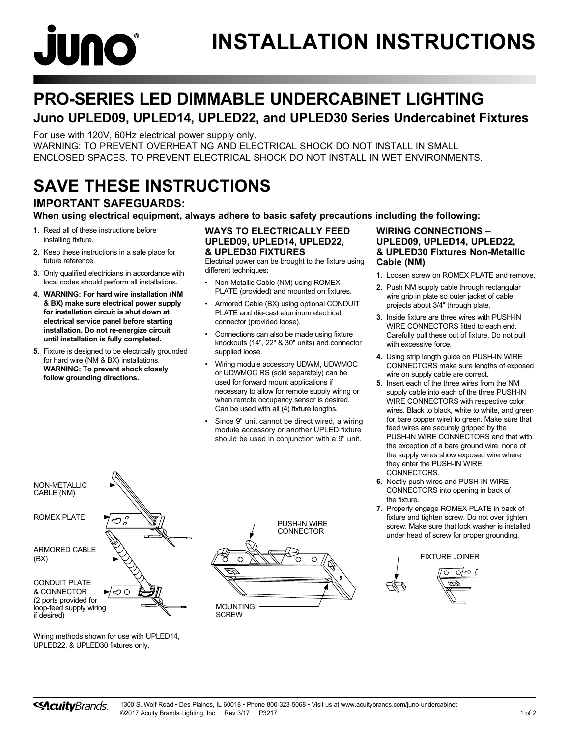

## **PRO-SERIES LED DIMMABLE UNDERCABINET LIGHTING**

## **Juno UPLED09, UPLED14, UPLED22, and UPLED30 Series Undercabinet Fixtures**

For use with 120V, 60Hz electrical power supply only. WARNING: TO PREVENT OVERHEATING AND ELECTRICAL SHOCK DO NOT INSTALL IN SMALL

ENCLOSED SPACES. TO PREVENT ELECTRICAL SHOCK DO NOT INSTALL IN WET ENVIRONMENTS.

## **SAVE THESE INSTRUCTIONS**

## **IMPORTANT SAFEGUARDS:**

**When using electrical equipment, always adhere to basic safety precautions including the following:**

- **1.** Read all of these instructions before installing fixture.
- **2.** Keep these instructions in a safe place for future reference.
- **3.** Only qualified electricians in accordance with local codes should perform all installations.
- **4. WARNING: For hard wire installation (NM & BX) make sure electrical power supply for installation circuit is shut down at electrical service panel before starting installation. Do not re-energize circuit until installation is fully completed.**
- **5.** Fixture is designed to be electrically grounded for hard wire (NM & BX) installations. **WARNING: To prevent shock closely follow grounding directions.**

#### **WAYS TO ELECTRICALLY FEED UPLED09, UPLED14, UPLED22, & UPLED30 FIXTURES**

Electrical power can be brought to the fixture using different techniques:

- Non-Metallic Cable (NM) using ROMEX PLATE (provided) and mounted on fixtures.
- Armored Cable (BX) using optional CONDUIT PLATE and die-cast aluminum electrical connector (provided loose).
- Connections can also be made using fixture knockouts (14", 22" & 30" units) and connector supplied loose.
- Wiring module accessory UDWM, UDWMOC or UDWMOC RS (sold separately) can be used for forward mount applications if necessary to allow for remote supply wiring or when remote occupancy sensor is desired. Can be used with all (4) fixture lengths.
- Since 9" unit cannot be direct wired, a wiring module accessory or another UPLED fixture should be used in conjunction with a 9" unit.

## **WIRING CONNECTIONS – UPLED09, UPLED14, UPLED22, & UPLED30 Fixtures Non-Metallic Cable (NM)**

- **1.** Loosen screw on ROMEX PLATE and remove.
- **2.** Push NM supply cable through rectangular wire grip in plate so outer jacket of cable projects about 3/4" through plate.
- **3.** Inside fixture are three wires with PUSH-IN WIRE CONNECTORS fitted to each end. Carefully pull these out of fixture. Do not pull with excessive force.
- **4.** Using strip length guide on PUSH-IN WIRE CONNECTORS make sure lengths of exposed wire on supply cable are correct.
- **5.** Insert each of the three wires from the NM supply cable into each of the three PUSH-IN WIRE CONNECTORS with respective color wires. Black to black, white to white, and green (or bare copper wire) to green. Make sure that feed wires are securely gripped by the PUSH-IN WIRE CONNECTORS and that with the exception of a bare ground wire, none of the supply wires show exposed wire where they enter the PUSH-IN WIRE CONNECTORS.
- **6.** Neatly push wires and PUSH-IN WIRE CONNECTORS into opening in back of the fixture.
- **7.** Properly engage ROMEX PLATE in back of fixture and tighten screw. Do not over tighten screw. Make sure that lock washer is installed under head of screw for proper grounding.





Wiring methods shown for use with UPLED14, UPLED22, & UPLED30 fixtures only.

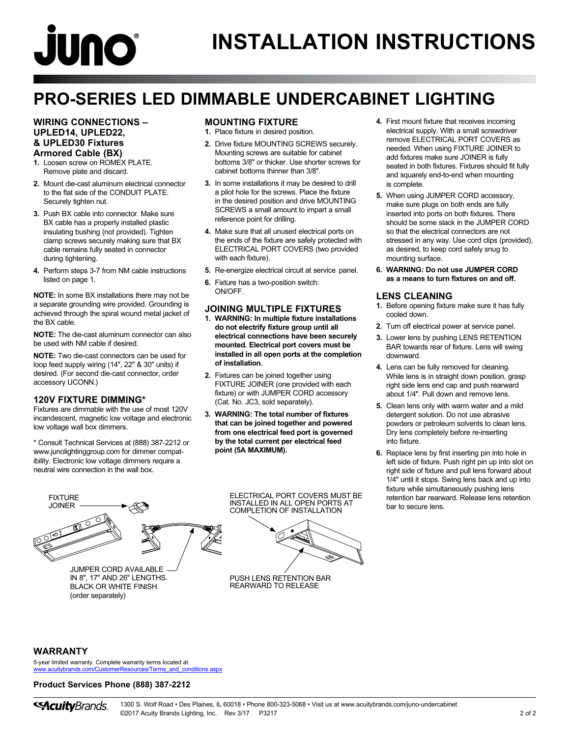# **juno**

## **PRO-SERIES LED DIMMABLE UNDERCABINET LIGHTING**

#### **WIRING CONNECTIONS – UPLED14, UPLED22, & UPLED30 Fixtures Armored Cable (BX)**

- **1.** Loosen screw on ROMEX PLATE. Remove plate and discard.
- **2.** Mount die-cast aluminum electrical connector to the flat side of the CONDUIT PLATE. Securely tighten nut.
- **3.** Push BX cable into connector. Make sure BX cable has a properly installed plastic insulating bushing (not provided). Tighten clamp screws securely making sure that BX cable remains fully seated in connector during tightening.
- **4.** Perform steps 3-7 from NM cable instructions listed on page 1.

**NOTE:** In some BX installations there may not be a separate grounding wire provided. Grounding is achieved through the spiral wound metal jacket of the BX cable.

**NOTE:** The die-cast aluminum connector can also be used with NM cable if desired.

**NOTE:** Two die-cast connectors can be used for loop feed supply wiring (14", 22" & 30" units) if desired. (For second die-cast connector, order accessory UCONN.)

## **120V FIXTURE DIMMING\***

Fixtures are dimmable with the use of most 120V incandescent, magnetic low voltage and electronic low voltage wall box dimmers.

\* Consult Technical Services at (888) 387-2212 or www.junolightinggroup.com for dimmer compatibility. Electronic low voltage dimmers require a neutral wire connection in the wall box.

## **MOUNTING FIXTURE**

- **1.** Place fixture in desired position.
- **2.** Drive fixture MOUNTING SCREWS securely. Mounting screws are suitable for cabinet bottoms 3/8" or thicker. Use shorter screws for cabinet bottoms thinner than 3/8".
- **3.** In some installations it may be desired to drill a pilot hole for the screws. Place the fixture in the desired position and drive MOUNTING SCREWS a small amount to impart a small reference point for drilling.
- **4.** Make sure that all unused electrical ports on the ends of the fixture are safely protected with ELECTRICAL PORT COVERS (two provided with each fixture).
- **5.** Re-energize electrical circuit at service panel.
- **6.** Fixture has a two-position switch: ON/OFF.

## **JOINING MULTIPLE FIXTURES**

- **1. WARNING: In multiple fixture installations do not electrify fixture group until all electrical connections have been securely mounted. Electrical port covers must be installed in all open ports at the completion of installation.**
- **2.** Fixtures can be joined together using FIXTURE JOINER (one provided with each fixture) or with JUMPER CORD accessory (Cat. No. JC3, sold separately).
- **3. WARNING: The total number of fixtures that can be joined together and powered from one electrical feed port is governed by the total current per electrical feed point (5A MAXIMUM).**

**4.** First mount fixture that receives incoming electrical supply. With a small screwdriver remove ELECTRICAL PORT COVERS as needed. When using FIXTURE JOINER to add fixtures make sure JOINER is fully seated in both fixtures. Fixtures should fit fully and squarely end-to-end when mounting is complete.

- **5.** When using JUMPER CORD accessory, make sure plugs on both ends are fully inserted into ports on both fixtures. There should be some slack in the JUMPER CORD so that the electrical connectors are not stressed in any way. Use cord clips (provided), as desired, to keep cord safely snug to mounting surface.
- **6. WARNING: Do not use JUMPER CORD as a means to turn fixtures on and off.**

## **LENS CLEANING**

- **1.** Before opening fixture make sure it has fully cooled down.
- **2.** Turn off electrical power at service panel.
- **3.** Lower lens by pushing LENS RETENTION BAR towards rear of fixture. Lens will swing downward.
- **4.** Lens can be fully removed for cleaning. While lens is in straight down position, grasp right side lens end cap and push rearward about 1/4". Pull down and remove lens.
- **5.** Clean lens only with warm water and a mild detergent solution. Do not use abrasive powders or petroleum solvents to clean lens. Dry lens completely before re-inserting into fixture.
- **6.** Replace lens by first inserting pin into hole in left side of fixture. Push right pin up into slot on right side of fixture and pull lens forward about 1/4" until it stops. Swing lens back and up into fixture while simultaneously pushing lens retention bar rearward. Release lens retention bar to secure lens.



IN 8", 17" AND 26" LENGTHS. BLACK OR WHITE FINISH. (order separately)



ELECTRICAL PORT COVERS MUST BE

PUSH LENS RETENTION BAR REARWARD TO RELEASE

## **WARRANTY**

5-year limited warranty. Complete warranty terms located at [www.acuitybrands.com/CustomerResources/Terms\\_and\\_conditions.aspx](http://www.acuitybrands.com/CustomerResources/Terms_and_conditions.aspx)

#### **Product Services Phone (888) 387-2212**

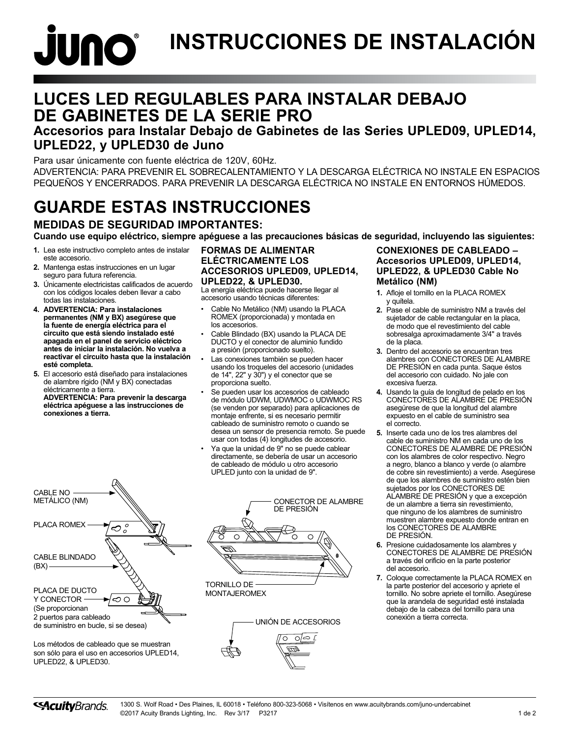# **JUNO INSTRUCCIONES DE INSTALACIÓN**

## **LUCES LED REGULABLES PARA INSTALAR DEBAJO DE GABINETES DE LA SERIE PRO**

## **Accesorios para Instalar Debajo de Gabinetes de las Series UPLED09, UPLED14, UPLED22, y UPLED30 de Juno**

Para usar únicamente con fuente eléctrica de 120V, 60Hz. ADVERTENCIA: PARA PREVENIR EL SOBRECALENTAMIENTO Y LA DESCARGA ELÉCTRICA NO INSTALE EN ESPACIOS PEQUEÑOS Y ENCERRADOS. PARA PREVENIR LA DESCARGA ELÉCTRICA NO INSTALE EN ENTORNOS HÚMEDOS.

## **GUARDE ESTAS INSTRUCCIONES**

**MEDIDAS DE SEGURIDAD IMPORTANTES:**

**Cuando use equipo eléctrico, siempre apéguese a las precauciones básicas de seguridad, incluyendo las siguientes:**

- **1.** Lea este instructivo completo antes de instalar este accesorio.
- **2.** Mantenga estas instrucciones en un lugar seguro para futura referencia.
- **3.** Únicamente electricistas calificados de acuerdo con los códigos locales deben llevar a cabo todas las instalaciones.
- **4. ADVERTENCIA: Para instalaciones permanentes (NM y BX) asegúrese que la fuente de energía eléctrica para el circuito que está siendo instalado esté apagada en el panel de servicio eléctrico antes de iniciar la instalación. No vuelva a reactivar el circuito hasta que la instalación esté completa.**
- **5.** El accesorio está diseñado para instalaciones de alambre rígido (NM y BX) conectadas eléctricamente a tierra. **ADVERTENCIA: Para prevenir la descarga eléctrica apéguese a las instrucciones de conexiones a tierra.**

#### **FORMAS DE ALIMENTAR ELÉCTRICAMENTE LOS ACCESORIOS UPLED09, UPLED14, UPLED22, & UPLED30.**

La energía eléctrica puede hacerse llegar al accesorio usando técnicas diferentes:

- Cable No Metálico (NM) usando la PLACA ROMEX (proporcionada) y montada en los accesorios.
- Cable Blindado (BX) usando la PLACA DE DUCTO y el conector de aluminio fundido a presión (proporcionado suelto).
- Las conexiones también se pueden hacer usando los troqueles del accesorio (unidades de 14", 22" y 30") y el conector que se proporciona suelto.
- Se pueden usar los accesorios de cableado de módulo UDWM, UDWMOC o UDWMOC RS (se venden por separado) para aplicaciones de montaje enfrente, si es necesario permitir cableado de suministro remoto o cuando se desea un sensor de presencia remoto. Se puede usar con todas (4) longitudes de accesorio.
- Ya que la unidad de 9" no se puede cablear directamente, se debería de usar un accesorio de cableado de módulo u otro accesorio UPLED junto con la unidad de 9".





MONTAJEROMEX



## **CONEXIONES DE CABLEADO – Accesorios UPLED09, UPLED14, UPLED22, & UPLED30 Cable No Metálico (NM)**

- **1.** Afloje el tornillo en la PLACA ROMEX y quítela.
- **2.** Pase el cable de suministro NM a través del sujetador de cable rectangular en la placa, de modo que el revestimiento del cable sobresalga aproximadamente 3/4" a través de la placa.
- **3.** Dentro del accesorio se encuentran tres alambres con CONECTORES DE ALAMBRE DE PRESIÓN en cada punta. Saque éstos del accesorio con cuidado. No jale con excesiva fuerza.
- **4.** Usando la guía de longitud de pelado en los CONECTORES DE ALAMBRE DE PRESIÓN asegúrese de que la longitud del alambre expuesto en el cable de suministro sea el correcto.
- **5.** Inserte cada uno de los tres alambres del cable de suministro NM en cada uno de los CONECTORES DE ALAMBRE DE PRESIÓN con los alambres de color respectivo. Negro a negro, blanco a blanco y verde (o alambre de cobre sin revestimiento) a verde. Asegúrese de que los alambres de suministro estén bien sujetados por los CONECTORES DE ALAMBRE DE PRESIÓN y que a excepción de un alambre a tierra sin revestimiento, que ninguno de los alambres de suministro muestren alambre expuesto donde entran en los CONECTORES DE ALAMBRE DE PRESIÓN.
- **6.** Presione cuidadosamente los alambres y CONECTORES DE ALAMBRE DE PRESIÓN a través del orificio en la parte posterior del accesorio.
- **7.** Coloque correctamente la PLACA ROMEX en la parte posterior del accesorio y apriete el tornillo. No sobre apriete el tornillo. Asegúrese que la arandela de seguridad esté instalada debajo de la cabeza del tornillo para una conexión a tierra correcta.